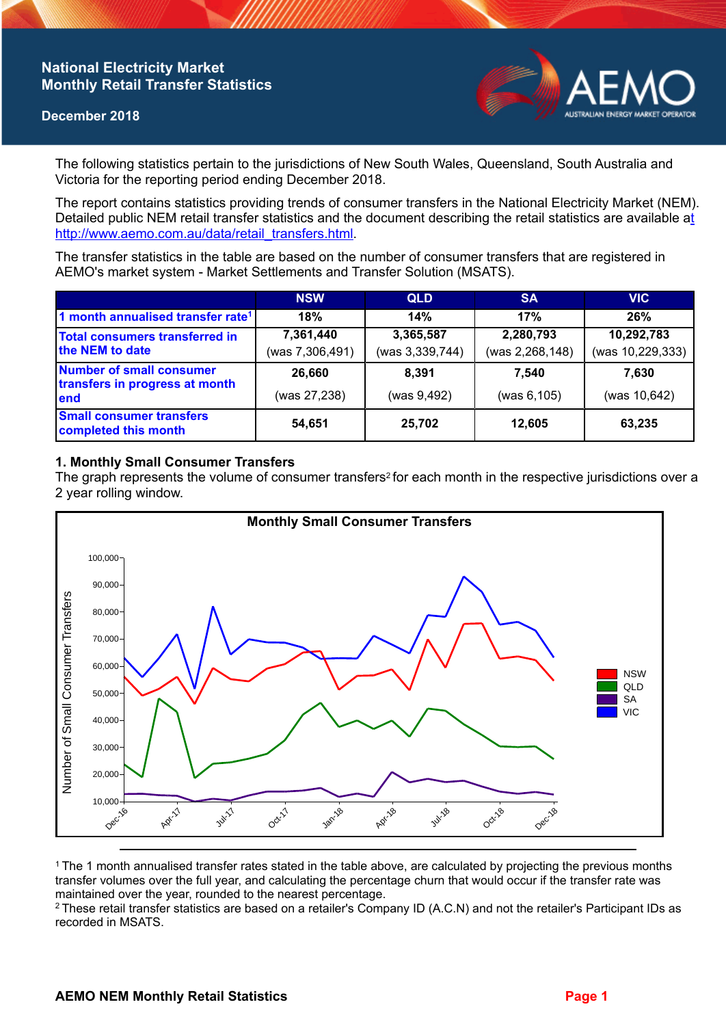## **National Electricity Market Monthly Retail Transfer Statistics**

#### **December 2018**



The following statistics pertain to the jurisdictions of New South Wales, Queensland, South Australia and Victoria for the reporting period ending December 2018.

The report contains statistics providing trends of consumer transfers in the National Electricity Market (NEM). Detailed public NEM retail transfer statistics and the document describing the retail statistics are available a[t](http://www.aemo.com.au/data/retail_transfers.html)  http://www.aemo.com.au/data/retail\_transfers.html

The transfer statistics in the table are based on the number of consumer transfers that are registered in AEMO's market system - Market Settlements and Transfer Solution (MSATS).

|                                                                           | <b>NSW</b>      | <b>QLD</b>      | <b>SA</b>       | <b>VIC</b>       |
|---------------------------------------------------------------------------|-----------------|-----------------|-----------------|------------------|
| 1 month annualised transfer rate <sup>1</sup>                             | 18%             | 14%             | 17%             | 26%              |
| <b>Total consumers transferred in</b><br>the NEM to date                  | 7,361,440       | 3,365,587       | 2,280,793       | 10,292,783       |
|                                                                           | (was 7,306,491) | (was 3,339,744) | (was 2,268,148) | (was 10,229,333) |
| <b>Number of small consumer</b><br>transfers in progress at month<br>lend | 26,660          | 8.391           | 7.540           | 7.630            |
|                                                                           | (was 27,238)    | (was 9,492)     | (was 6, 105)    | (was 10,642)     |
| <b>Small consumer transfers</b><br>completed this month                   | 54,651          | 25,702          | 12,605          | 63,235           |

## **1. Monthly Small Consumer Transfers**

The graph represents the volume of consumer transfers<sup>2</sup> for each month in the respective jurisdictions over a 2 year rolling window.



<sup>1</sup>The 1 month annualised transfer rates stated in the table above, are calculated by projecting the previous months transfer volumes over the full year, and calculating the percentage churn that would occur if the transfer rate was maintained over the year, rounded to the nearest percentage.

<sup>2</sup> These retail transfer statistics are based on a retailer's Company ID (A.C.N) and not the retailer's Participant IDs as recorded in MSATS.